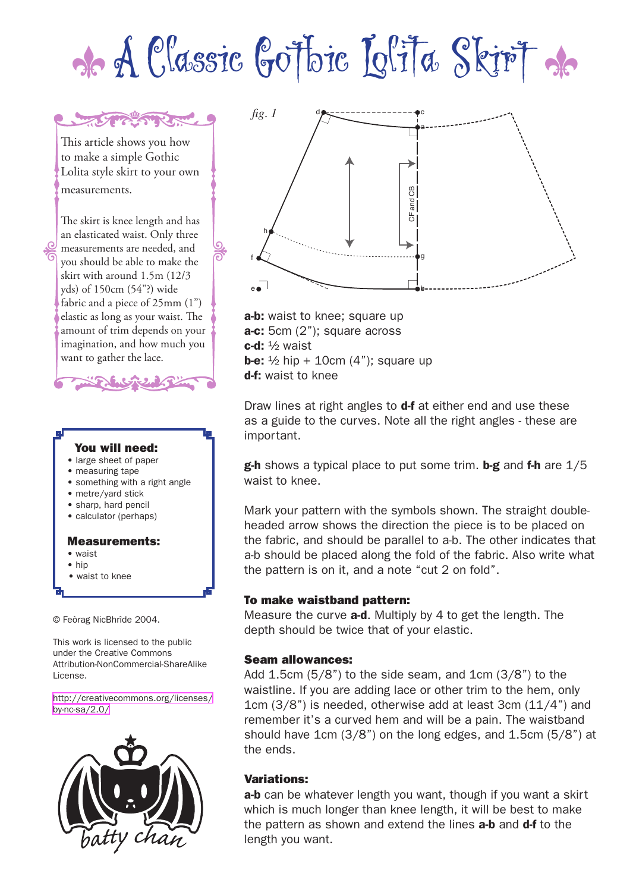# de A Classic Gotbic Lolita Skirt de

This article shows you how to make a simple Gothic Lolita style skirt to your own measurements.

THE THE THREE

The skirt is knee length and has an elasticated waist. Only three measurements are needed, and you should be able to make the skirt with around 1.5m (12/3 yds) of 150cm (54"?) wide fabric and a piece of 25mm (1") elastic as long as your waist. The amount of trim depends on your imagination, and how much you want to gather the lace.



© Feòrag NicBhrìde 2004.

This work is licensed to the public under the Creative Commons Attribution-NonCommercial-ShareAlike License.

[http://creativecommons.org/licenses/](http://creativecommons.org/licenses/by-nc-sa/2.0/) [by-nc-sa/2.0/](http://creativecommons.org/licenses/by-nc-sa/2.0/)





a-b: waist to knee; square up a-c: 5cm (2"); square across  $c-d$ :  $\frac{1}{2}$  waist **b-e:**  $\frac{1}{2}$  hip + 10cm (4"); square up d-f: waist to knee

Draw lines at right angles to **d-f** at either end and use these as a guide to the curves. Note all the right angles - these are important.

**g-h** shows a typical place to put some trim. **b-g** and **f-h** are  $1/5$ waist to knee.

Mark your pattern with the symbols shown. The straight doubleheaded arrow shows the direction the piece is to be placed on the fabric, and should be parallel to a-b. The other indicates that a-b should be placed along the fold of the fabric. Also write what the pattern is on it, and a note "cut 2 on fold".

## To make waistband pattern:

Measure the curve **a-d**. Multiply by 4 to get the length. The depth should be twice that of your elastic.

#### Seam allowances:

Add 1.5cm (5/8") to the side seam, and 1cm (3/8") to the waistline. If you are adding lace or other trim to the hem, only 1cm (3/8") is needed, otherwise add at least 3cm (11/4") and remember it's a curved hem and will be a pain. The waistband should have 1cm (3/8") on the long edges, and 1.5cm (5/8") at the ends.

## Variations:

a-b can be whatever length you want, though if you want a skirt which is much longer than knee length, it will be best to make the pattern as shown and extend the lines **a-b** and **d-f** to the length you want.